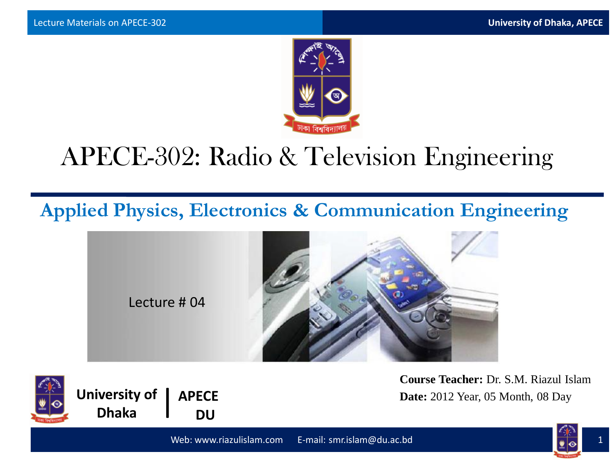

# APECE-302: Radio & Television Engineering

**Applied Physics, Electronics & Communication Engineering**





**University of | APECE DU**

**Course Teacher:** Dr. S.M. Riazul Islam **Date:** 2012 Year, 05 Month, 08 Day

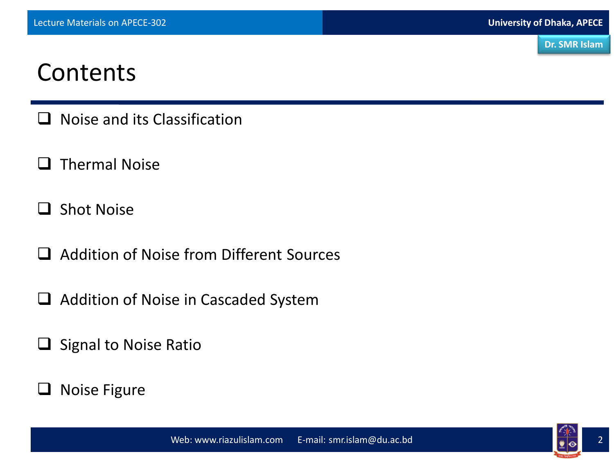## Contents

- $\Box$  Noise and its Classification
- $\Box$  Thermal Noise
- $\Box$  Shot Noise
- □ Addition of Noise from Different Sources
- $\Box$  Addition of Noise in Cascaded System
- $\Box$  Signal to Noise Ratio
- $\Box$  Noise Figure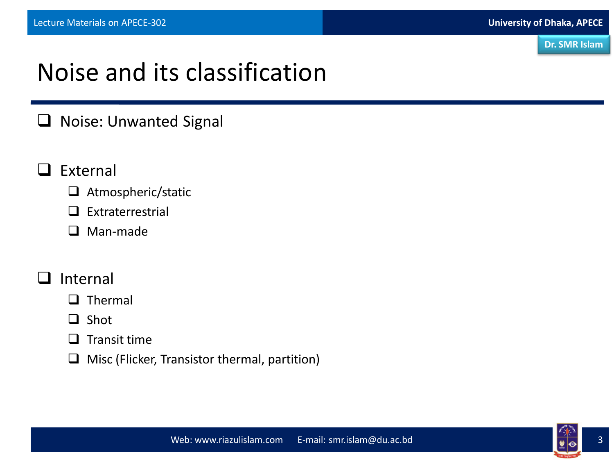# Noise and its classification

#### $\Box$  Noise: Unwanted Signal

- $\Box$  External
	- $\Box$  Atmospheric/static
	- $\Box$  Extraterrestrial
	- □ Man-made

#### Internal

#### $\Box$  Thermal

- $\Box$  Shot
- $\Box$  Transit time
- $\Box$  Misc (Flicker, Transistor thermal, partition)

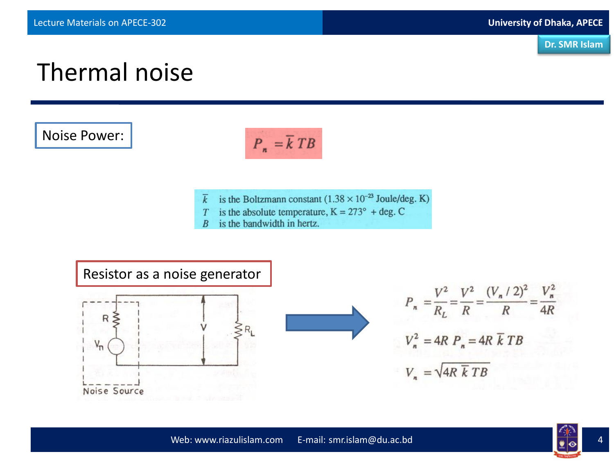

## Thermal noise

Noise Power:



- $\overline{k}$  is the Boltzmann constant (1.38 × 10<sup>-23</sup> Joule/deg. K)
- is the absolute temperature,  $K = 273^{\circ} + deg$ . C  $T$
- is the bandwidth in hertz.  $\boldsymbol{B}$



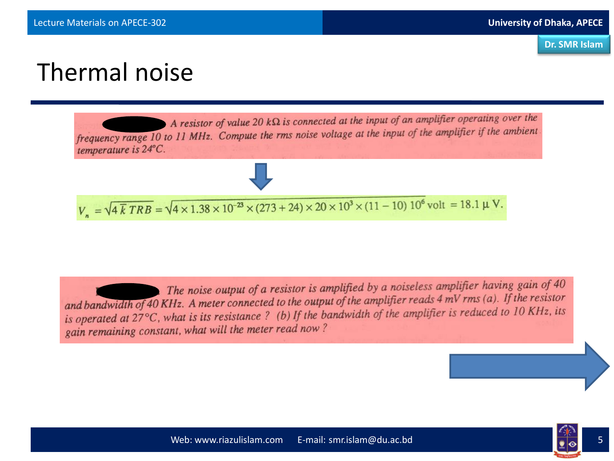## Thermal noise



The noise output of a resistor is amplified by a noiseless amplifier having gain of 40 and bandwidth of 40 KHz. A meter connected to the output of the amplifier reads  $4 \text{ mV}$  rms (a). If the resistor and bandwidth of 40 KHz. A meter connected to the output of the amplifier is reduced to 10 KHz, its<br>is operated at 27 $\degree$ C, what is its resistance ? (b) If the bandwidth of the amplifier is reduced to 10 KHz, its gain remaining constant, what will the meter read now?

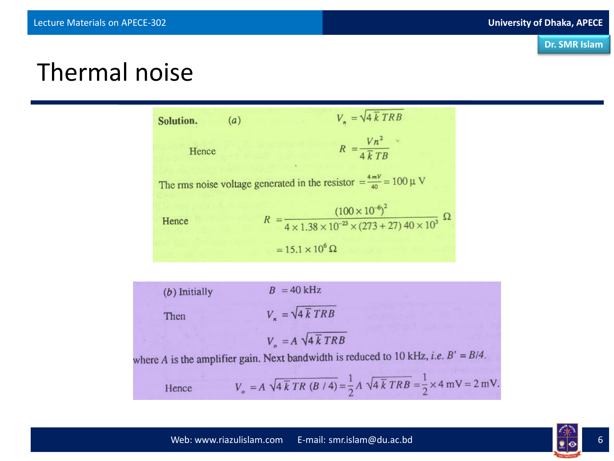

#### Thermal noise

 $V_n = \sqrt{4 \overline{k} T R B}$  $(a)$ Solution.  $R = \frac{V n^2}{4 \overline{k} T B}$ Hence The rms noise voltage generated in the resistor =  $\frac{4mV}{40}$  = 100 µ V  $R = \frac{(100 \times 10^{-6})^2}{4 \times 1.38 \times 10^{-23} \times (273 + 27) 40 \times 10^3} \Omega$ Hence  $= 15.1 \times 10^6 \Omega$ 

| $(b)$ Initially | $B = 40$ kHz                                                                                                                         |
|-----------------|--------------------------------------------------------------------------------------------------------------------------------------|
| Then            | $V_n = \sqrt{4 \overline{k} T R B}$                                                                                                  |
|                 | $V = A \sqrt{4 \overline{k} T R B}$                                                                                                  |
|                 | where A is the amplifier gain. Next bandwidth is reduced to 10 kHz, <i>i.e.</i> $B' = B/4$ .                                         |
| Hence           | $V_o = A \sqrt{4 \overline{k} TR (B/4)} = \frac{1}{2} A \sqrt{4 \overline{k} TRB} = \frac{1}{2} \times 4 \text{ mV} = 2 \text{ mV}.$ |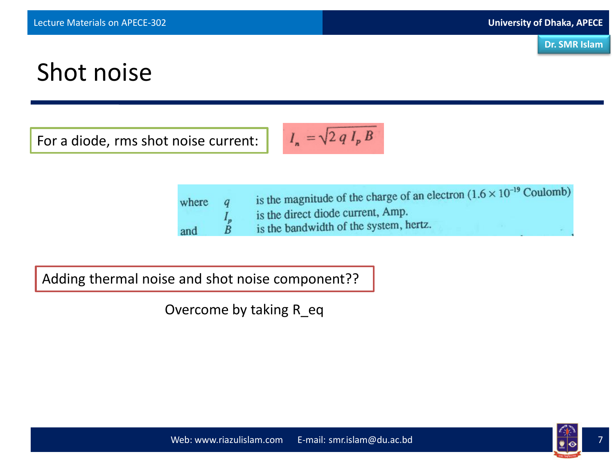

# Shot noise

For a diode, rms shot noise current:

$$
I_n = \sqrt{2 q I_p B}
$$

| where |                      | is the magnitude of the charge of an electron $(1.6 \times 10^{-19} \text{ Coulomb})$<br>is the direct diode current, Amp. |
|-------|----------------------|----------------------------------------------------------------------------------------------------------------------------|
| and   | $I_p$<br>$\tilde{B}$ | is the bandwidth of the system, hertz.                                                                                     |

Adding thermal noise and shot noise component??

Overcome by taking R\_eq

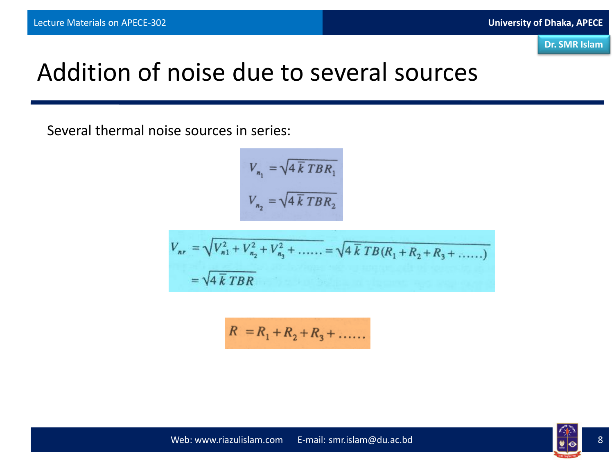

## Addition of noise due to several sources

Several thermal noise sources in series:

$$
V_{n_1} = \sqrt{4 \overline{k} TBR_1}
$$

$$
V_{n_2} = \sqrt{4 \overline{k} TBR_2}
$$

$$
V_{nr} = \sqrt{V_{n1}^2 + V_{n2}^2 + V_{n3}^2 + \dots = \sqrt{4 \overline{k} T B (R_1 + R_2 + R_3 + \dots)}
$$
  
=  $\sqrt{4 \overline{k} T B R}$ 

$$
R = R_1 + R_2 + R_3 + \dots
$$

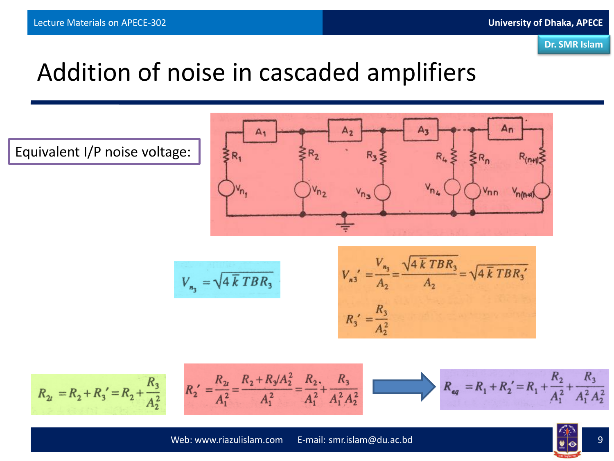

# Addition of noise in cascaded amplifiers

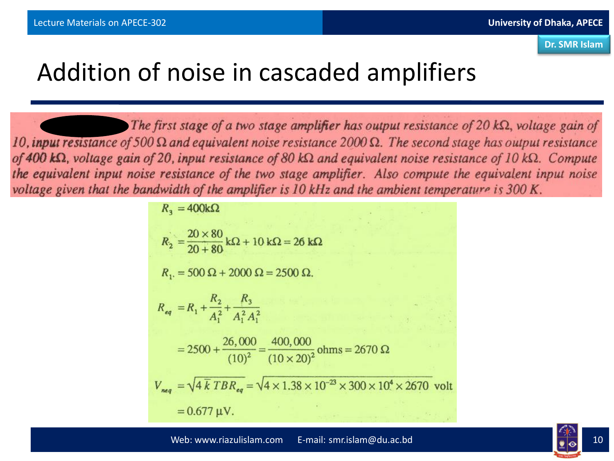## Addition of noise in cascaded amplifiers

The first stage of a two stage amplifier has output resistance of 20  $k\Omega$ , voltage gain of 10, input resistance of 500  $\Omega$  and equivalent noise resistance 2000  $\Omega$ . The second stage has output resistance of 400 k $\Omega$ , voltage gain of 20, input resistance of 80 k $\Omega$  and equivalent noise resistance of 10 k $\Omega$ . Compute the equivalent input noise resistance of the two stage amplifier. Also compute the equivalent input noise voltage given that the bandwidth of the amplifier is 10 kHz and the ambient temperature is 300 K.

$$
R_3 = 400k\Omega
$$
  
\n
$$
R_2 = \frac{20 \times 80}{20 + 80} k\Omega + 10 k\Omega = 26 k\Omega
$$
  
\n
$$
R_1 = 500 \Omega + 2000 \Omega = 2500 \Omega.
$$
  
\n
$$
R_{eq} = R_1 + \frac{R_2}{A_1^2} + \frac{R_3}{A_1^2 A_1^2}
$$
  
\n
$$
= 2500 + \frac{26,000}{(10)^2} = \frac{400,000}{(10 \times 20)^2} \text{ ohms} = 2670 \Omega
$$
  
\n
$$
V_{neq} = \sqrt{4 \overline{k} T B R_{eq}} = \sqrt{4 \times 1.38 \times 10^{-23} \times 300 \times 10^4 \times 2670} \text{ volt}
$$
  
\n
$$
= 0.677 \mu V.
$$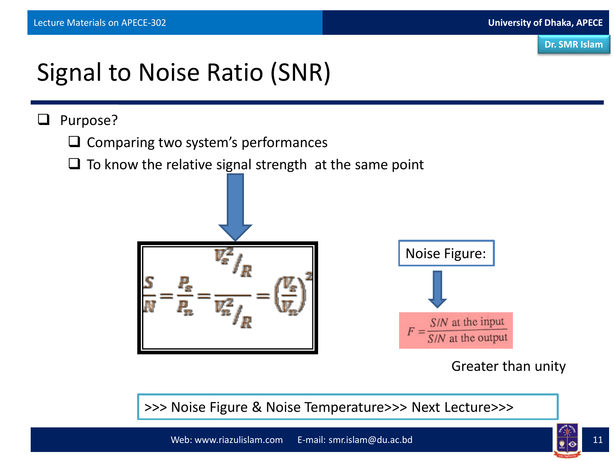# Signal to Noise Ratio (SNR)

#### Purpose?

- $\Box$  Comparing two system's performances
- $\Box$  To know the relative signal strength at the same point



Greater than unity

>>> Noise Figure & Noise Temperature>>> Next Lecture>>>